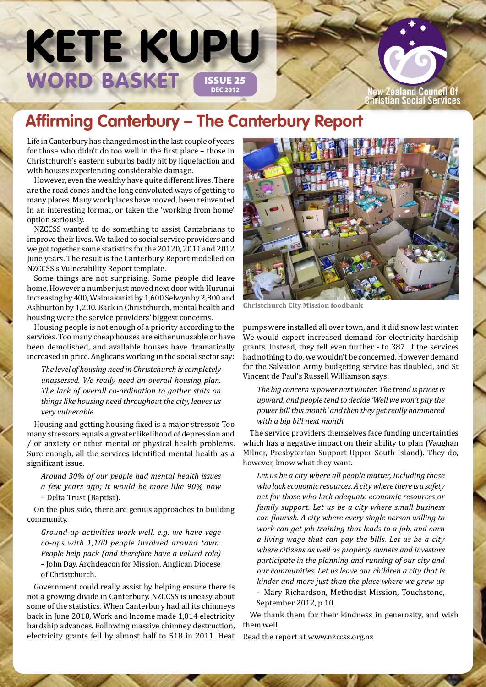# WORD BASKET (ISSUE 25 **KETE KUPU**

#### **New Zealand Council Of Christian Social Services**

### **Affirming Canterbury – The Canterbury Report**

Life in Canterbury has changed most in the last couple of years for those who didn't do too well in the first place – those in Christchurch's eastern suburbs badly hit by liquefaction and with houses experiencing considerable damage.

However, even the wealthy have quite different lives. There are the road cones and the long convoluted ways of getting to many places. Many workplaces have moved, been reinvented in an interesting format, or taken the 'working from home' option seriously.

NZCCSS wanted to do something to assist Cantabrians to improve their lives. We talked to social service providers and we got together some statistics for the 20120, 2011 and 2012 June years. The result is the Canterbury Report modelled on NZCCSS's Vulnerability Report template.

Some things are not surprising. Some people did leave home. However a number just moved next door with Hurunui increasing by 400, Waimakariri by 1,600 Selwyn by 2,800 and Ashburton by 1,200. Back in Christchurch, mental health and housing were the service providers' biggest concerns.

Housing people is not enough of a priority according to the services. Too many cheap houses are either unusable or have been demolished, and available houses have dramatically increased in price. Anglicans working in the social sector say:

*The level of housing need in Christchurch is completely unassessed. We really need an overall housing plan. The lack of overall co-ordination to gather stats on things like housing need throughout the city, leaves us very vulnerable.*

Housing and getting housing fixed is a major stressor. Too many stressors equals a greater likelihood of depression and / or anxiety or other mental or physical health problems. Sure enough, all the services identified mental health as a significant issue.

*Around 30% of our people had mental health issues a few years ago; it would be more like 90% now*  – Delta Trust (Baptist).

On the plus side, there are genius approaches to building community.

*Ground-up activities work well, e.g. we have vege co-ops with 1,100 people involved around town. People help pack (and therefore have a valued role)*  – John Day, Archdeacon for Mission, Anglican Diocese of Christchurch.

Government could really assist by helping ensure there is not a growing divide in Canterbury. NZCCSS is uneasy about some of the statistics. When Canterbury had all its chimneys back in June 2010, Work and Income made 1,014 electricity hardship advances. Following massive chimney destruction, electricity grants fell by almost half to 518 in 2011. Heat



**Christchurch City Mission foodbank**

pumps were installed all over town, and it did snow last winter. We would expect increased demand for electricity hardship grants. Instead, they fell even further - to 387. If the services had nothing to do, we wouldn't be concerned. However demand for the Salvation Army budgeting service has doubled, and St Vincent de Paul's Russell Williamson says:

*The big concern is power next winter. The trend is prices is upward, and people tend to decide 'Well we won't pay the power bill this month' and then they get really hammered with a big bill next month.* 

The service providers themselves face funding uncertainties which has a negative impact on their ability to plan (Vaughan Milner, Presbyterian Support Upper South Island). They do, however, know what they want.

*Let us be a city where all people matter, including those who lack economic resources. A city where there is a safety net for those who lack adequate economic resources or family support. Let us be a city where small business can flourish. A city where every single person willing to work can get job training that leads to a job, and earn a living wage that can pay the bills. Let us be a city where citizens as well as property owners and investors participate in the planning and running of our city and our communities. Let us leave our children a city that is kinder and more just than the place where we grew up*  – Mary Richardson, Methodist Mission, Touchstone,

September 2012, p.10.

We thank them for their kindness in generosity, and wish them well.

Read the report at www.nzccss.org.nz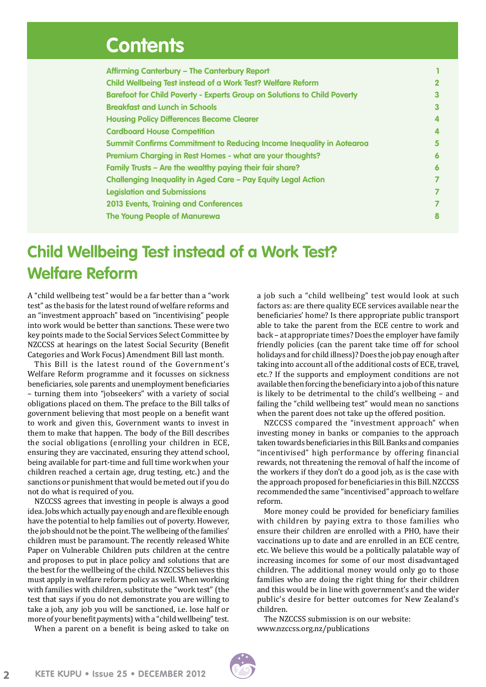### **Contents**

| Affirming Canterbury - The Canterbury Report                                    |   |
|---------------------------------------------------------------------------------|---|
| Child Wellbeing Test instead of a Work Test? Welfare Reform                     |   |
| <b>Barefoot for Child Poverty - Experts Group on Solutions to Child Poverty</b> |   |
| <b>Breakfast and Lunch in Schools</b>                                           | 3 |
| <b>Housing Policy Differences Become Clearer</b>                                |   |
| <b>Cardboard House Competition</b>                                              |   |
| <b>Summit Confirms Commitment to Reducing Income Inequality in Aotearoa</b>     | 5 |
| Premium Charging in Rest Homes - what are your thoughts?                        | 6 |
| Family Trusts - Are the wealthy paying their fair share?                        | 6 |
| <b>Challenging Inequality in Aged Care - Pay Equity Legal Action</b>            |   |
| <b>Legislation and Submissions</b>                                              |   |
| <b>2013 Events, Training and Conferences</b>                                    |   |
| The Young People of Manurewa                                                    |   |

### **Child Wellbeing Test instead of a Work Test? Welfare Reform**

A "child wellbeing test" would be a far better than a "work test" as the basis for the latest round of welfare reforms and an "investment approach" based on "incentivising" people into work would be better than sanctions. These were two key points made to the Social Services Select Committee by NZCCSS at hearings on the latest Social Security (Benefit Categories and Work Focus) Amendment Bill last month.

This Bill is the latest round of the Government's Welfare Reform programme and it focusses on sickness beneficiaries, sole parents and unemployment beneficiaries – turning them into "jobseekers" with a variety of social obligations placed on them. The preface to the Bill talks of government believing that most people on a benefit want to work and given this, Government wants to invest in them to make that happen. The body of the Bill describes the social obligations (enrolling your children in ECE, ensuring they are vaccinated, ensuring they attend school, being available for part-time and full time work when your children reached a certain age, drug testing, etc.) and the sanctions or punishment that would be meted out if you do not do what is required of you.

NZCCSS agrees that investing in people is always a good idea. Jobs which actually pay enough and are flexible enough have the potential to help families out of poverty. However, the job should not be the point. The wellbeing of the families' children must be paramount. The recently released White Paper on Vulnerable Children puts children at the centre and proposes to put in place policy and solutions that are the best for the wellbeing of the child. NZCCSS believes this must apply in welfare reform policy as well. When working with families with children, substitute the "work test" (the test that says if you do not demonstrate you are willing to take a job, any job you will be sanctioned, i.e. lose half or more of your benefit payments) with a "child wellbeing" test.

When a parent on a benefit is being asked to take on

a job such a "child wellbeing" test would look at such factors as: are there quality ECE services available near the beneficiaries' home? Is there appropriate public transport able to take the parent from the ECE centre to work and back – at appropriate times? Does the employer have family friendly policies (can the parent take time off for school holidays and for child illness)? Does the job pay enough after taking into account all of the additional costs of ECE, travel, etc.? If the supports and employment conditions are not available then forcing the beneficiary into a job of this nature is likely to be detrimental to the child's wellbeing – and failing the "child wellbeing test" would mean no sanctions when the parent does not take up the offered position.

NZCCSS compared the "investment approach" when investing money in banks or companies to the approach taken towards beneficiaries in this Bill. Banks and companies "incentivised" high performance by offering financial rewards, not threatening the removal of half the income of the workers if they don't do a good job, as is the case with the approach proposed for beneficiaries in this Bill. NZCCSS recommended the same "incentivised" approach to welfare reform.

More money could be provided for beneficiary families with children by paying extra to those families who ensure their children are enrolled with a PHO, have their vaccinations up to date and are enrolled in an ECE centre, etc. We believe this would be a politically palatable way of increasing incomes for some of our most disadvantaged children. The additional money would only go to those families who are doing the right thing for their children and this would be in line with government's and the wider public's desire for better outcomes for New Zealand's children.

The NZCCSS submission is on our website: [www.nzccss.org.nz/publications](http://www.nzccss.org.nz/site/searchpub.php)

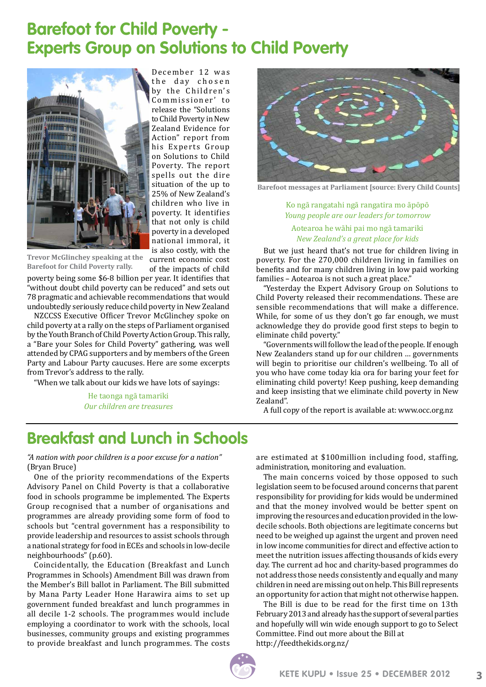### **Barefoot for Child Poverty - Experts Group on Solutions to Child Poverty**



December 12 was the day chosen by the Children's Commissioner' to release the "Solutions to Child Poverty in New Zealand Evidence for Action" report from his Experts Group on Solutions to Child Poverty. The report spells out the dire situation of the up to 25% of New Zealand's children who live in poverty. It identifies that not only is child poverty in a developed national immoral, it is also costly, with the

**Trevor McGlinchey speaking at the Barefoot for Child Poverty rally.**

current economic cost of the impacts of child

poverty being some \$6-8 billion per year. It identifies that "without doubt child poverty can be reduced" and sets out 78 pragmatic and achievable recommendations that would undoubtedly seriously reduce child poverty in New Zealand

NZCCSS Executive Officer Trevor McGlinchey spoke on child poverty at a rally on the steps of Parliament organised by the Youth Branch of Child Poverty Action Group. This rally, a "Bare your Soles for Child Poverty" gathering, was well attended by CPAG supporters and by members of the Green Party and Labour Party caucuses. Here are some excerpts from Trevor's address to the rally.

"When we talk about our kids we have lots of sayings:

He taonga ngā tamariki *Our children are treasures*



**Barefoot messages at Parliament [source: Every Child Counts]**

Ko ngā rangatahi ngā rangatira mo āpōpō *Young people are our leaders for tomorrow* Aotearoa he wāhi pai mo ngā tamariki *New Zealand's a great place for kids*

But we just heard that's not true for children living in poverty. For the 270,000 children living in families on benefits and for many children living in low paid working families - Aotearoa is not such a great place.'

"Yesterday the Expert Advisory Group on Solutions to Child Poverty released their recommendations. These are sensible recommendations that will make a difference. While, for some of us they don't go far enough, we must acknowledge they do provide good first steps to begin to eliminate child poverty."

"Governments will follow the lead of the people. If enough New Zealanders stand up for our children … governments will begin to prioritise our children's wellbeing. To all of you who have come today kia ora for baring your feet for eliminating child poverty! Keep pushing, keep demanding and keep insisting that we eliminate child poverty in New Zealand".

A full copy of the report is available at: www.occ.org.nz

### **Breakfast and Lunch in Schools**

*"A nation with poor children is a poor excuse for a nation"* (Bryan Bruce)

One of the priority recommendations of the Experts Advisory Panel on Child Poverty is that a collaborative food in schools programme be implemented. The Experts Group recognised that a number of organisations and programmes are already providing some form of food to schools but "central government has a responsibility to provide leadership and resources to assist schools through a national strategy for food in ECEs and schools in low-decile neighbourhoods" (p.60).

Coincidentally, the Education (Breakfast and Lunch Programmes in Schools) Amendment Bill was drawn from the Member's Bill ballot in Parliament. The Bill submitted by Mana Party Leader Hone Harawira aims to set up government funded breakfast and lunch programmes in all decile 1-2 schools. The programmes would include employing a coordinator to work with the schools, local businesses, community groups and existing programmes to provide breakfast and lunch programmes. The costs

are estimated at \$100million including food, staffing, administration, monitoring and evaluation.

The main concerns voiced by those opposed to such legislation seem to be focused around concerns that parent responsibility for providing for kids would be undermined and that the money involved would be better spent on improving the resources and education provided in the lowdecile schools. Both objections are legitimate concerns but need to be weighed up against the urgent and proven need in low income communities for direct and effective action to meet the nutrition issues affecting thousands of kids every day. The current ad hoc and charity-based programmes do not address those needs consistently and equally and many children in need are missing out on help. This Bill represents an opportunity for action that might not otherwise happen.

The Bill is due to be read for the first time on 13th February 2013 and already has the support of several parties and hopefully will win wide enough support to go to Select Committee. Find out more about the Bill at http://feedthekids.org.nz/

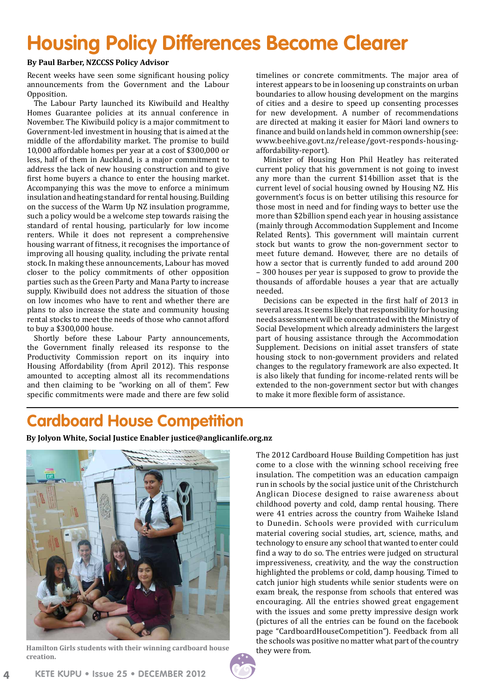## **Housing Policy Differences Become Clearer**

#### **By Paul Barber, NZCCSS Policy Advisor**

Recent weeks have seen some significant housing policy announcements from the Government and the Labour Opposition.

The Labour Party launched its Kiwibuild and Healthy Homes Guarantee policies at its annual conference in November. The Kiwibuild policy is a major commitment to Government-led investment in housing that is aimed at the middle of the affordability market. The promise to build 10,000 affordable homes per year at a cost of \$300,000 or less, half of them in Auckland, is a major commitment to address the lack of new housing construction and to give first home buyers a chance to enter the housing market. Accompanying this was the move to enforce a minimum insulation and heating standard for rental housing. Building on the success of the Warm Up NZ insulation programme, such a policy would be a welcome step towards raising the standard of rental housing, particularly for low income renters. While it does not represent a comprehensive housing warrant of fitness, it recognises the importance of improving all housing quality, including the private rental stock. In making these announcements, Labour has moved closer to the policy commitments of other opposition parties such as the Green Party and Mana Party to increase supply. Kiwibuild does not address the situation of those on low incomes who have to rent and whether there are plans to also increase the state and community housing rental stocks to meet the needs of those who cannot afford to buy a \$300,000 house.

Shortly before these Labour Party announcements, the Government finally released its response to the Productivity Commission report on its inquiry into Housing Affordability (from April 2012). This response amounted to accepting almost all its recommendations and then claiming to be "working on all of them". Few specific commitments were made and there are few solid timelines or concrete commitments. The major area of interest appears to be in loosening up constraints on urban boundaries to allow housing development on the margins of cities and a desire to speed up consenting processes for new development. A number of recommendations are directed at making it easier for Māori land owners to finance and build on lands held in common ownership (see: [www.beehive.govt.nz/release/govt-responds-housing](www.beehive.govt.nz/release/govt-responds-housing-affordability-report)[affordability-report](www.beehive.govt.nz/release/govt-responds-housing-affordability-report)).

Minister of Housing Hon Phil Heatley has reiterated current policy that his government is not going to invest any more than the current \$14billion asset that is the current level of social housing owned by Housing NZ. His government's focus is on better utilising this resource for those most in need and for finding ways to better use the more than \$2billion spend each year in housing assistance (mainly through Accommodation Supplement and Income Related Rents). This government will maintain current stock but wants to grow the non-government sector to meet future demand. However, there are no details of how a sector that is currently funded to add around 200 – 300 houses per year is supposed to grow to provide the thousands of affordable houses a year that are actually needed.

Decisions can be expected in the first half of 2013 in several areas. It seems likely that responsibility for housing needs assessment will be concentrated with the Ministry of Social Development which already administers the largest part of housing assistance through the Accommodation Supplement. Decisions on initial asset transfers of state housing stock to non-government providers and related changes to the regulatory framework are also expected. It is also likely that funding for income-related rents will be extended to the non-government sector but with changes to make it more flexible form of assistance.

### **Cardboard House Competition**

**By Jolyon White, Social Justice Enabler justice@anglicanlife.org.nz** 



**Hamilton Girls students with their winning cardboard house creation.**

The 2012 Cardboard House Building Competition has just come to a close with the winning school receiving free insulation. The competition was an education campaign run in schools by the social justice unit of the Christchurch Anglican Diocese designed to raise awareness about childhood poverty and cold, damp rental housing. There were 41 entries across the country from Waiheke Island to Dunedin. Schools were provided with curriculum material covering social studies, art, science, maths, and technology to ensure any school that wanted to enter could find a way to do so. The entries were judged on structural impressiveness, creativity, and the way the construction highlighted the problems or cold, damp housing. Timed to catch junior high students while senior students were on exam break, the response from schools that entered was encouraging. All the entries showed great engagement with the issues and some pretty impressive design work (pictures of all the entries can be found on the facebook page "CardboardHouseCompetition"). Feedback from all the schools was positive no matter what part of the country they were from.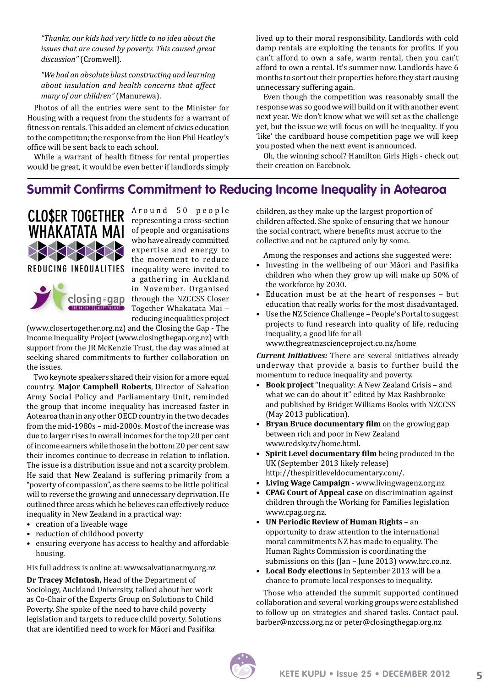*"Thanks, our kids had very little to no idea about the issues that are caused by poverty. This caused great discussion"* (Cromwell).

*"We had an absolute blast constructing and learning about insulation and health concerns that affect many of our children"* (Manurewa).

Photos of all the entries were sent to the Minister for Housing with a request from the students for a warrant of fitness on rentals. This added an element of civics education to the competiton; the response from the Hon Phil Heatley's office will be sent back to each school.

While a warrant of health fitness for rental properties would be great, it would be even better if landlords simply lived up to their moral responsibility. Landlords with cold damp rentals are exploiting the tenants for profits. If you can't afford to own a safe, warm rental, then you can't afford to own a rental. It's summer now. Landlords have 6 months to sort out their properties before they start causing unnecessary suffering again.

Even though the competition was reasonably small the response was so good we will build on it with another event next year. We don't know what we will set as the challenge yet, but the issue we will focus on will be inequality. If you 'like' the cardboard house competition page we will keep you posted when the next event is announced.

Oh, the winning school? Hamilton Girls High - check out their creation on Facebook.

#### **Summit Confirms Commitment to Reducing Income Inequality in Aotearoa**



Around 50 people representing a cross-section of people and organisations who have already committed expertise and energy to the movement to reduce a gathering in Auckland in November. Organised through the NZCCSS Closer Together Whakatata Mai – reducing inequalities project

(www.closertogether.org.nz) and the Closing the Gap - The Income Inequality Project (www.closingthegap.org.nz) with support from the JR McKenzie Trust, the day was aimed at seeking shared commitments to further collaboration on the issues.

Two keynote speakers shared their vision for a more equal country. **Major Campbell Roberts**, Director of Salvation Army Social Policy and Parliamentary Unit, reminded the group that income inequality has increased faster in Aotearoa than in any other OECD country in the two decades from the mid-1980s – mid-2000s. Most of the increase was due to larger rises in overall incomes for the top 20 per cent of income earners while those in the bottom 20 per cent saw their incomes continue to decrease in relation to inflation. The issue is a distribution issue and not a scarcity problem. He said that New Zealand is suffering primarily from a "poverty of compassion", as there seems to be little political will to reverse the growing and unnecessary deprivation. He outlined three areas which he believes can effectively reduce inequality in New Zealand in a practical way:

- creation of a liveable wage
- reduction of childhood poverty
- ensuring everyone has access to healthy and affordable housing.

His full address is online at: [www.salvationarmy.org.nz](www.salvationarmy.org.nz/research-media/social-policy-and-parliamentary-unit/conference-papers/overcoming-the-gap/)

**Dr Tracey McIntosh,** Head of the Department of Sociology, Auckland University, talked about her work as Co-Chair of the Experts Group on Solutions to Child Poverty. She spoke of the need to have child poverty legislation and targets to reduce child poverty. Solutions that are identified need to work for Māori and Pasifika

children, as they make up the largest proportion of children affected. She spoke of ensuring that we honour the social contract, where benefits must accrue to the collective and not be captured only by some.

Among the responses and actions she suggested were:

- Investing in the wellbeing of our Māori and Pasifika children who when they grow up will make up 50% of the workforce by 2030.
- Education must be at the heart of responses but education that really works for the most disadvantaged.
- Use the NZ Science Challenge People's Portal to suggest projects to fund research into quality of life, reducing inequality, a good life for all www.thegreatnzscienceproject.co.nz/home

*Current Initiatives:* There are several initiatives already underway that provide a basis to further build the momentum to reduce inequality and poverty.

- **Book project** "Inequality: A New Zealand Crisis and what we can do about it" edited by Max Rashbrooke and published by Bridget Williams Books with NZCCSS (May 2013 publication).
- **Bryan Bruce documentary film** on the growing gap between rich and poor in New Zealand www.redsky.tv/home.html.
- **Spirit Level documentary film** being produced in the UK (September 2013 likely release) http://thespiritleveldocumentary.com/.
- **Living Wage Campaign** www.livingwagenz.org.nz
- **CPAG Court of Appeal case** on discrimination against children through the Working for Families legislation www.cpag.org.nz.
- **UN Periodic Review of Human Rights** an opportunity to draw attention to the international moral commitments NZ has made to equality. The Human Rights Commission is coordinating the submissions on this (Jan – June 2013) [www.hrc.co.nz.](www.hrc.co.nz/international-human-rights-new/new-zealands-international-obligations/universal-periodic-review)
- **Local Body elections** in September 2013 will be a chance to promote local responses to inequality.

Those who attended the summit supported continued collaboration and several working groups were established to follow up on strategies and shared tasks. Contact paul. barber@nzccss.org.nz or peter@closingthegap.org.nz

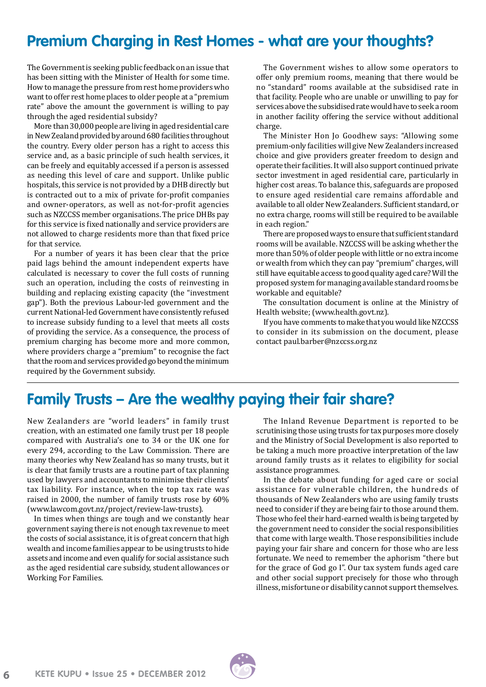### **Premium Charging in Rest Homes - what are your thoughts?**

The Government is seeking public feedback on an issue that has been sitting with the Minister of Health for some time. How to manage the pressure from rest home providers who want to offer rest home places to older people at a "premium rate" above the amount the government is willing to pay through the aged residential subsidy?

More than 30,000 people are living in aged residential care in New Zealand provided by around 680 facilities throughout the country. Every older person has a right to access this service and, as a basic principle of such health services, it can be freely and equitably accessed if a person is assessed as needing this level of care and support. Unlike public hospitals, this service is not provided by a DHB directly but is contracted out to a mix of private for-profit companies and owner-operators, as well as not-for-profit agencies such as NZCCSS member organisations. The price DHBs pay for this service is fixed nationally and service providers are not allowed to charge residents more than that fixed price for that service.

For a number of years it has been clear that the price paid lags behind the amount independent experts have calculated is necessary to cover the full costs of running such an operation, including the costs of reinvesting in building and replacing existing capacity (the "investment gap"). Both the previous Labour-led government and the current National-led Government have consistently refused to increase subsidy funding to a level that meets all costs of providing the service. As a consequence, the process of premium charging has become more and more common, where providers charge a "premium" to recognise the fact that the room and services provided go beyond the minimum required by the Government subsidy.

The Government wishes to allow some operators to offer only premium rooms, meaning that there would be no "standard" rooms available at the subsidised rate in that facility. People who are unable or unwilling to pay for services above the subsidised rate would have to seek a room in another facility offering the service without additional charge.

The Minister Hon Jo Goodhew says: "Allowing some premium-only facilities will give New Zealanders increased choice and give providers greater freedom to design and operate their facilities. It will also support continued private sector investment in aged residential care, particularly in higher cost areas. To balance this, safeguards are proposed to ensure aged residential care remains affordable and available to all older New Zealanders. Sufficient standard, or no extra charge, rooms will still be required to be available in each region."

There are proposed ways to ensure that sufficient standard rooms will be available. NZCCSS will be asking whether the more than 50% of older people with little or no extra income or wealth from which they can pay "premium" charges, will still have equitable access to good quality aged care? Will the proposed system for managing available standard rooms be workable and equitable?

The consultation document is online at the Ministry of Health website; [\(www.health.govt.nz\).](www.health.govt.nz/publication/premium-only-aged-residential-care-facilities-and-stand-down-provisions-mixed-facilities-discussion)

If you have comments to make that you would like NZCCSS to consider in its submission on the document, please contact paul.barber@nzccss.org.nz

### **Family Trusts – Are the wealthy paying their fair share?**

New Zealanders are "world leaders" in family trust creation, with an estimated one family trust per 18 people compared with Australia's one to 34 or the UK one for every 294, according to the Law Commission. There are many theories why New Zealand has so many trusts, but it is clear that family trusts are a routine part of tax planning used by lawyers and accountants to minimise their clients' tax liability. For instance, when the top tax rate was raised in 2000, the number of family trusts rose by 60% (www.lawcom.govt.nz/project/review-law-trusts).

In times when things are tough and we constantly hear government saying there is not enough tax revenue to meet the costs of social assistance, it is of great concern that high wealth and income families appear to be using trusts to hide assets and income and even qualify for social assistance such as the aged residential care subsidy, student allowances or Working For Families.

The Inland Revenue Department is reported to be scrutinising those using trusts for tax purposes more closely and the Ministry of Social Development is also reported to be taking a much more proactive interpretation of the law around family trusts as it relates to eligibility for social assistance programmes.

In the debate about funding for aged care or social assistance for vulnerable children, the hundreds of thousands of New Zealanders who are using family trusts need to consider if they are being fair to those around them. Those who feel their hard-earned wealth is being targeted by the government need to consider the social responsibilities that come with large wealth. Those responsibilities include paying your fair share and concern for those who are less fortunate. We need to remember the aphorism "there but for the grace of God go I". Our tax system funds aged care and other social support precisely for those who through illness, misfortune or disability cannot support themselves.

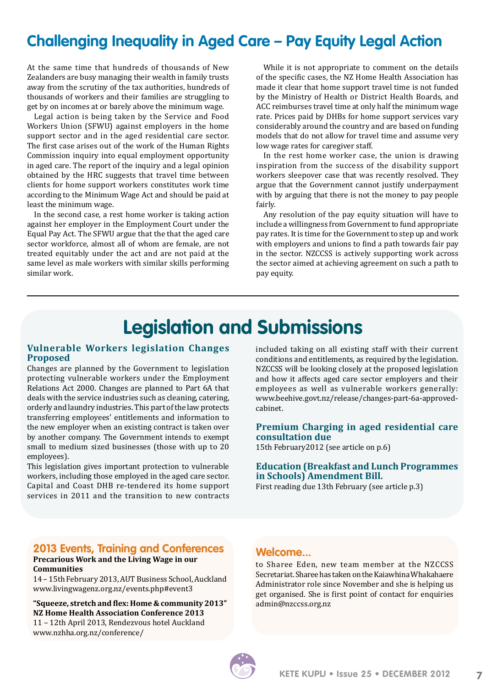### **Challenging Inequality in Aged Care – Pay Equity Legal Action**

At the same time that hundreds of thousands of New Zealanders are busy managing their wealth in family trusts away from the scrutiny of the tax authorities, hundreds of thousands of workers and their families are struggling to get by on incomes at or barely above the minimum wage.

Legal action is being taken by the Service and Food Workers Union (SFWU) against employers in the home support sector and in the aged residential care sector. The first case arises out of the work of the Human Rights Commission inquiry into equal employment opportunity in aged care. The report of the inquiry and a legal opinion obtained by the HRC suggests that travel time between clients for home support workers constitutes work time according to the Minimum Wage Act and should be paid at least the minimum wage.

In the second case, a rest home worker is taking action against her employer in the Employment Court under the Equal Pay Act. The SFWU argue that the that the aged care sector workforce, almost all of whom are female, are not treated equitably under the act and are not paid at the same level as male workers with similar skills performing similar work.

While it is not appropriate to comment on the details of the specific cases, the NZ Home Health Association has made it clear that home support travel time is not funded by the Ministry of Health or District Health Boards, and ACC reimburses travel time at only half the minimum wage rate. Prices paid by DHBs for home support services vary considerably around the country and are based on funding models that do not allow for travel time and assume very low wage rates for caregiver staff.

In the rest home worker case, the union is drawing inspiration from the success of the disability support workers sleepover case that was recently resolved. They argue that the Government cannot justify underpayment with by arguing that there is not the money to pay people fairly.

Any resolution of the pay equity situation will have to include a willingness from Government to fund appropriate pay rates. It is time for the Government to step up and work with employers and unions to find a path towards fair pay in the sector. NZCCSS is actively supporting work across the sector aimed at achieving agreement on such a path to pay equity.

### **Legislation and Submissions**

#### **Vulnerable Workers legislation Changes Proposed**

Changes are planned by the Government to legislation protecting vulnerable workers under the Employment Relations Act 2000. Changes are planned to Part 6A that deals with the service industries such as cleaning, catering, orderly and laundry industries. This part of the law protects transferring employees' entitlements and information to the new employer when an existing contract is taken over by another company. The Government intends to exempt small to medium sized businesses (those with up to 20 employees).

This legislation gives important protection to vulnerable workers, including those employed in the aged care sector. Capital and Coast DHB re-tendered its home support services in 2011 and the transition to new contracts included taking on all existing staff with their current conditions and entitlements, as required by the legislation. NZCCSS will be looking closely at the proposed legislation and how it affects aged care sector employers and their employees as well as vulnerable workers generally: [www.beehive.govt.nz/release/changes-part-6a-approved](http://www.beehive.govt.nz/release/changes-part-6a-approved-cabinet)[cabinet.](http://www.beehive.govt.nz/release/changes-part-6a-approved-cabinet)

#### **Premium Charging in aged residential care consultation due**

15th February2012 (see article on p.6)

#### **Education (Breakfast and Lunch Programmes in Schools) Amendment Bill.**

First reading due 13th February (see article p.3)

#### **2013 Events, Training and Conferences Precarious Work and the Living Wage in our**

#### **Communities**

14 – 15th February 2013, AUT Business School, Auckland www.livingwagenz.org.nz/events.php#event3

**"Squeeze, stretch and flex: Home & community 2013" NZ Home Health Association Conference 2013** 11 – 12th April 2013, Rendezvous hotel Auckland www.nzhha.org.nz/conference/

#### **Welcome...**

to Sharee Eden, new team member at the NZCCSS Secretariat. Sharee has taken on the Kaiawhina Whakahaere Administrator role since November and she is helping us get organised. She is first point of contact for enquiries admin@nzccss.org.nz